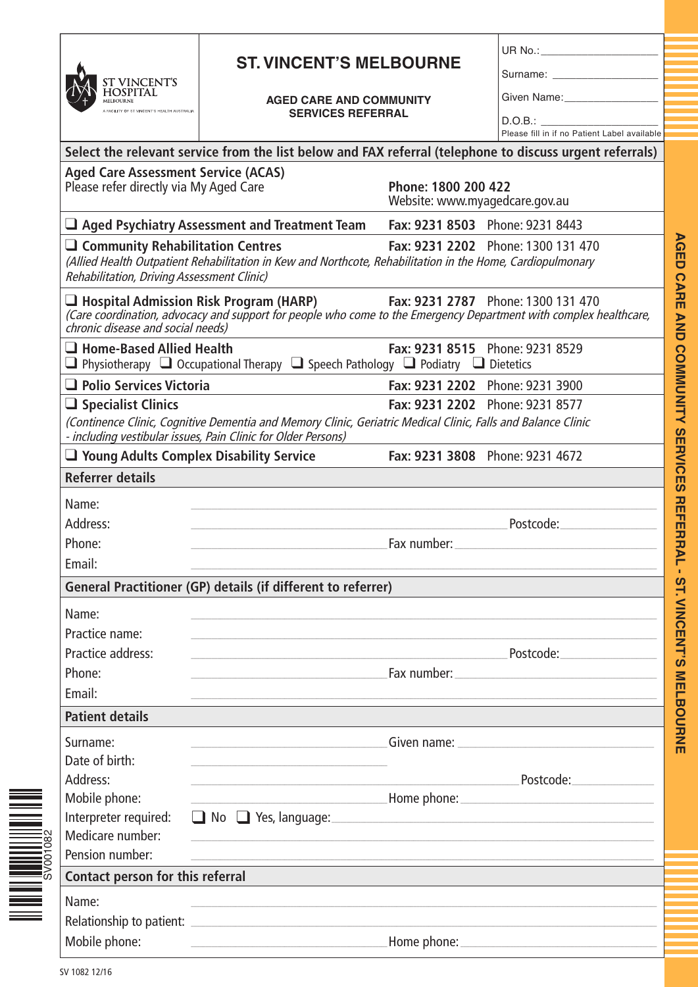| <b>ST VINCENT'S</b><br><b>HOSPITAL</b><br><b>MELBOURNE</b> |
|------------------------------------------------------------|
| A FACILITY OF ST VINCENT'S HEALTH AUSTRALIA                |

## **ST. VINCENT'S MELBOURNE**

## **AGED CARE AND COMMUNITY SERVICES REFERRAL**

UR  $No.:$ 

Surname:

Given Name:

D.O.B.: \_\_\_\_\_\_\_\_\_\_\_\_\_\_\_\_\_\_\_\_

|                                                                                         |                                                                                                                                                                                                        |                                                       | Please fill in if no Patient Label available                                                                                                                                                                                   |
|-----------------------------------------------------------------------------------------|--------------------------------------------------------------------------------------------------------------------------------------------------------------------------------------------------------|-------------------------------------------------------|--------------------------------------------------------------------------------------------------------------------------------------------------------------------------------------------------------------------------------|
|                                                                                         | Select the relevant service from the list below and FAX referral (telephone to discuss urgent referrals)                                                                                               |                                                       |                                                                                                                                                                                                                                |
| <b>Aged Care Assessment Service (ACAS)</b><br>Please refer directly via My Aged Care    |                                                                                                                                                                                                        | Phone: 1800 200 422<br>Website: www.myagedcare.gov.au |                                                                                                                                                                                                                                |
|                                                                                         | $\Box$ Aged Psychiatry Assessment and Treatment Team                                                                                                                                                   |                                                       | Fax: 9231 8503 Phone: 9231 8443                                                                                                                                                                                                |
| <b>□ Community Rehabilitation Centres</b><br>Rehabilitation, Driving Assessment Clinic) | (Allied Health Outpatient Rehabilitation in Kew and Northcote, Rehabilitation in the Home, Cardiopulmonary                                                                                             |                                                       | Fax: 9231 2202 Phone: 1300 131 470                                                                                                                                                                                             |
|                                                                                         | $\Box$ Hospital Admission Risk Program (HARP)<br>Care coordination, advocacy and support for people who come to the Emergency Department with complex healthcare,<br>chronic disease and social needs) |                                                       | Fax: 9231 2787 Phone: 1300 131 470                                                                                                                                                                                             |
| $\Box$ Home-Based Allied Health                                                         | $\Box$ Physiotherapy $\Box$ Occupational Therapy $\Box$ Speech Pathology $\Box$ Podiatry $\Box$ Dietetics                                                                                              |                                                       | Fax: 9231 8515 Phone: 9231 8529                                                                                                                                                                                                |
| $\Box$ Polio Services Victoria                                                          |                                                                                                                                                                                                        |                                                       | Fax: 9231 2202 Phone: 9231 3900                                                                                                                                                                                                |
| $\Box$ Specialist Clinics                                                               |                                                                                                                                                                                                        |                                                       | Fax: 9231 2202 Phone: 9231 8577                                                                                                                                                                                                |
|                                                                                         | (Continence Clinic, Cognitive Dementia and Memory Clinic, Geriatric Medical Clinic, Falls and Balance Clinic<br>- including vestibular issues, Pain Clinic for Older Persons)                          |                                                       |                                                                                                                                                                                                                                |
|                                                                                         | $\Box$ Young Adults Complex Disability Service                                                                                                                                                         |                                                       | Fax: 9231 3808 Phone: 9231 4672                                                                                                                                                                                                |
| <b>Referrer details</b>                                                                 |                                                                                                                                                                                                        |                                                       |                                                                                                                                                                                                                                |
| Name:                                                                                   |                                                                                                                                                                                                        |                                                       |                                                                                                                                                                                                                                |
| Address:                                                                                |                                                                                                                                                                                                        |                                                       | Postcode: and the postcode:                                                                                                                                                                                                    |
| Phone:                                                                                  |                                                                                                                                                                                                        |                                                       |                                                                                                                                                                                                                                |
| Email:                                                                                  |                                                                                                                                                                                                        |                                                       |                                                                                                                                                                                                                                |
|                                                                                         | <b>General Practitioner (GP) details (if different to referrer)</b>                                                                                                                                    |                                                       |                                                                                                                                                                                                                                |
| Name:                                                                                   |                                                                                                                                                                                                        |                                                       |                                                                                                                                                                                                                                |
| Practice name:                                                                          |                                                                                                                                                                                                        |                                                       |                                                                                                                                                                                                                                |
| Practice address:                                                                       |                                                                                                                                                                                                        |                                                       | Postcode:                                                                                                                                                                                                                      |
| Phone:                                                                                  |                                                                                                                                                                                                        |                                                       | Fax number: Note and the set of the set of the set of the set of the set of the set of the set of the set of the set of the set of the set of the set of the set of the set of the set of the set of the set of the set of the |
| Email:                                                                                  |                                                                                                                                                                                                        |                                                       |                                                                                                                                                                                                                                |
| <b>Patient details</b>                                                                  |                                                                                                                                                                                                        |                                                       |                                                                                                                                                                                                                                |
| Surname:                                                                                |                                                                                                                                                                                                        |                                                       | Given name: North and South American Community of Service Community of Service Community of Service Community of Service Community of Service Community of Service Community of Service Community of Service Community of Serv |
| Date of birth:                                                                          |                                                                                                                                                                                                        |                                                       |                                                                                                                                                                                                                                |
| Address:                                                                                |                                                                                                                                                                                                        |                                                       | Postcode: 2008                                                                                                                                                                                                                 |
| Mobile phone:                                                                           | <b>Mome phone:</b> <u>All Communications</u> and The Mome phone:                                                                                                                                       |                                                       |                                                                                                                                                                                                                                |
| Interpreter required:<br>Medicare number:                                               |                                                                                                                                                                                                        |                                                       |                                                                                                                                                                                                                                |
| Pension number:                                                                         | <u> 1989 - Andrea San Andrea San Andrea San Andrea San Andrea San Andrea San Andrea San Andrea San Andrea San A</u>                                                                                    |                                                       |                                                                                                                                                                                                                                |
| Contact person for this referral                                                        | <u> 1980 - Johann Stoff, deutscher Stoff, der Stoff, der Stoff, der Stoff, der Stoff, der Stoff, der Stoff, der S</u>                                                                                  |                                                       |                                                                                                                                                                                                                                |
|                                                                                         |                                                                                                                                                                                                        |                                                       |                                                                                                                                                                                                                                |
| Name:                                                                                   |                                                                                                                                                                                                        |                                                       |                                                                                                                                                                                                                                |
|                                                                                         |                                                                                                                                                                                                        |                                                       |                                                                                                                                                                                                                                |
| Mobile phone:                                                                           | <u> 1980 - Jan Alexandro Alexandro Alexandro Alexandro Alexandro Alexandro Alexandro Alexandro Alexandro Alexandro A</u>                                                                               |                                                       |                                                                                                                                                                                                                                |

SV001082

||||||||||||||<br>|SV001082<br>|SV001082